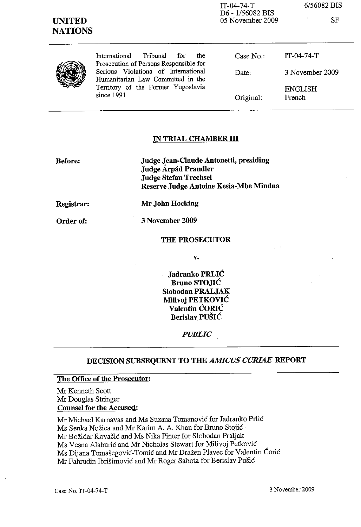|                                 |                                                                                                                              | $IT-04-74-T$<br>D6 - 1/56082 BIS<br>05 November 2009 | 6/56082 BIS              |
|---------------------------------|------------------------------------------------------------------------------------------------------------------------------|------------------------------------------------------|--------------------------|
| <b>UNITED</b><br><b>NATIONS</b> |                                                                                                                              |                                                      | SF                       |
|                                 | Tribunal<br>International<br>for<br>the<br>Prosecution of Persons Responsible for                                            | Case $No.$ :                                         | $IT-04-74-T$             |
|                                 | Serious Violations of International<br>Humanitarian Law Committed in the<br>Territory of the Former Yugoslavia<br>since 1991 | Date:                                                | 3 November 2009          |
|                                 |                                                                                                                              | Original:                                            | <b>ENGLISH</b><br>French |

# **IN TRIAL CHAMBER III**

**Before: Judge Jean-Claude Antonetti, presiding Judge A.rpad Prandler Judge Stefan Trechsel Reserve Judge Antoine Kesia-Mbe Mindua** 

**Registrar:** 

Order of:

**Mr John Hocking** 

**3 November 2009** 

#### **THE PROSECUTOR**

**v.** 

**Jadranko PRLIC Bruno STOJIĆ Slobodan PRALJAK Milivoj PETKOVIC Valentin CORIC Berislav PUSIC** 

*PUBLIC* 

## **DECISION SUBSEQUENT TO THE** *AMICUS CURIAE* **REPORT**

## **The Office of the Prosecutor:**

Mr Kenneth Scott Mr Douglas Stringer **Counsel for the Accused:** 

Mr Michael Karnavas and Ms Suzana Tomanović for Jadranko Prlić Ms Senka Nožica and Mr Karim A. A. Khan for Bruno Stojić Mr Božidar Kovačić and Ms Nika Pinter for Slobodan Praljak Ms Vesna Alaburic and Mr Nicholas Stewart for Milivoj Petkovie Ms Dijana Tomasegovie-*Tomie* and Mr DraZen Plavec for Valentin Corie Mr Fahrudin Ibrišimović and Mr Roger Sahota for Berislav Pušić

Case No. IT-04-74-T 3 November 2009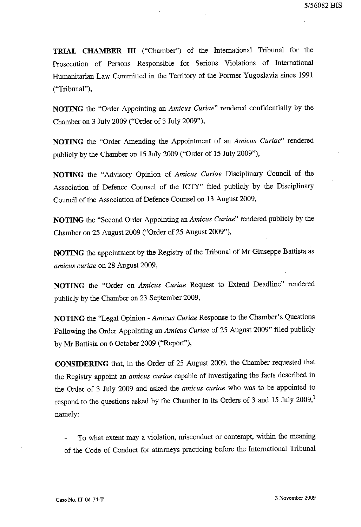**TRIAL CHAMBER ill** ("Chamber") of the International Tribunal for the Prosecution of Persons Responsible for Serious Violations of International Humanitarian Law Committed in the Territory of the Former Yugoslavia since 1991 ("Tribunal"),

**NOTING** the "Order Appointing an *Amicus Curiae"* rendered confidentially by the Chamber on 3 July 2009 ("Order of 3 July 2009"),

**NOTING** the "Order Amending the Appointment of an *Amicus Curiae"* rendered publicly by the Chamber on 15 July 2009 ("Order of 15 July 2009"),

**NOTING** the "Advisory Opinion of *Amicus Curiae* Disciplinary Council of the Association of Defence Counsel of the ICTY" filed publicly by the Disciplinary Council of the Association of Defence Counsel on 13 August 2009,

**NOTING** the "Second Order Appointing an *Amicus Curiae"* rendered publicly by the Chamber on 25 August 2009 ("Order of 25 August 2009"),

**NOTING** the appointment by the Registry of the Tribunal of Mr Giuseppe Battista as *amicus curiae* on 28 August 2009,

**NOTING** the "Order on *Amicus Curiae* Request to Extend Deadline" rendered publicly by the Chamber on 23 September 2009,

**NOTING** the ''Legal Opinion - *Amicus Curiae* Response to the Chamber's Questions Following the Order Appointing an *Amicus Curiae* of 25 August 2009" filed publicly by Mr Battista on 6 October 2009 ("Report"),

**CONSIDERING** that, in the Order of 25 August 2009, the Chamber requested that the Registry appoint an *amicus curiae* capable of investigating the facts described in the Order of 3 July 2009 and asked the *amicus curiae* who was to be appointed to respond to the questions asked by the Chamber in its Orders of 3 and 15 July  $2009$ ,<sup>1</sup> namely:

To what extent may a violation, misconduct or contempt, within the meaning of the Code of Conduct for attorneys practicing before the International Tribunal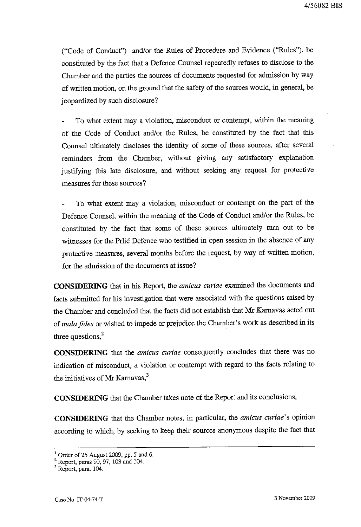("Code of Conduct") and/or the Rules of Procedure and Evidence ("Rules"), be constituted by the fact that a Defence Counsel repeatedly refuses to disclose to the Chamber and the parties the sources of documents requested for admission by way of written motion, on the ground that the safety of the sources would, in general, be jeopardized by such disclosure?

To what extent may a violation, misconduct or contempt, within the meaning of the Code of Conduct and/or the Rules, be constituted by the fact that this Counsel ultimately discloses the identity of some of these sources, after several reminders from the Chamber, without giving any satisfactory explanation justifying this late disclosure, and without seeking any request for protective measures for these sources?

To what extent may a violation, misconduct or contempt on the part of the Defence Counsel, within the meaning of the Code of Conduct and/or the Rules, be constituted by the fact that some of these sources ultimately turn out to be witnesses for the Prlic Defence who testified in open session in the absence of any protective measures, several months before the request, by way of written motion, for the admission of the documents at issue?

**CONSIDERING** that in his Report, the *amicus curiae* examined the documents and facts submitted for his investigation that were associated with the questions raised by the Chamber and concluded that the facts did not establish that Mr Karnavas acted out of *mala fides* or wished to impede or prejudice the Chamber's work as described in its three questions, $2$ 

**CONSIDERING** that the *amicus curiae* consequently concludes that there was no indication of misconduct, a violation or contempt with regard to the facts relating to the initiatives of Mr Karnavas, $3$ 

**CONSIDERING** that the Chamber takes note of the Report and its conclusions,

**CONSIDERING** that the Chamber notes, in particular, the *amicus curiae's* opinion according to which, by seeking to keep their sources anonymous despite the fact that

 $<sup>1</sup>$  Order of 25 August 2009, pp. 5 and 6.</sup>

 $2$  Report, paras 90, 97, 103 and 104.

<sup>&</sup>lt;sup>3</sup> Report, para. 104.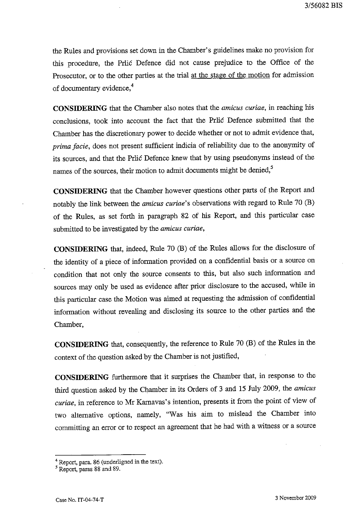the Rules and provisions set down in the Chamber's guidelines make no provision for this procedure, the Prlic Defence did not cause prejudice to the Office of the Prosecutor, or to the other parties at the trial at the stage of the motion for admission of documentary evidence,<sup>4</sup>

**CONSIDERING** that the Chamber also notes that the *amicus curiae,* in reaching his conclusions, took into account the fact that the Prlic Defence submitted that the Chamber has the discretionary power to decide whether or not to admit evidence that, *prima facie,* does not present sufficient indicia of reliability due to the anonymity of its sources, and that the Prlic Defence knew that by using pseudonyms instead of the names of the sources, their motion to admit documents might be denied,<sup>5</sup>

**CONSIDERING** that the Chamber however questions other parts of the Report and notably the link between the *amicus curiae's* observations with regard to Rule 70 CB) of the Rules, as set forth in paragraph 82 of his Report, and this particular case submitted to be investigated by the *amicus curiae,* 

**CONSIDERING** that, indeed, Rule 70 (B) of the Rules allows for the disclosure of the identity of a piece of infonnation provided on a confidential basis or a source on condition that not only the source consents to this, but also such infonnation and sources may only be used as evidence after prior disclosure to the accused, while in this particular case the Motion was aimed at requesting the admission of confidential infonnation without revealing and disclosing its source to the other parties and the Chamber,

**CONSIDERING** that, consequently, the reference to Rule 70 CB) of the Rules in the context of the question asked by the Chamber is not justified,

**CONSIDERING** furthennore that it surprises the Chamber that, in response to the third question asked by the Chamber in its Orders of 3 and 15 July 2009, the *amicus*  curiae, in reference to Mr Karnavas's intention, presents it from the point of view of two alternative options, namely, "Was his aim to mislead the Chamber into committing an error or to respect an agreement that he had with a witness or a source

<sup>4</sup> Report, para. 86 (underligned in the text).

<sup>&</sup>lt;sup>5</sup> Report, paras 88 and 89.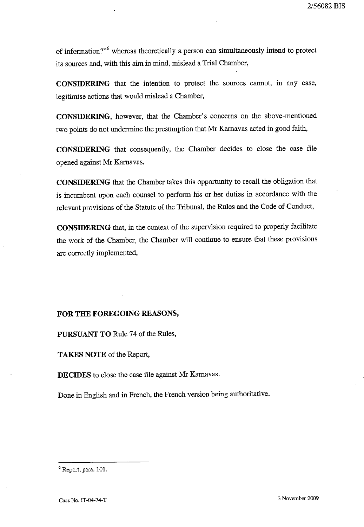of information?"<sup>6</sup> whereas theoretically a person can simultaneously intend to protect its sources and, with this aim in mind, mislead a Trial Chamber,

**CONSIDERING** that the intention to protect the sources cannot, in any case, legitimise actions that would mislead a Chamber,

**CONSIDERING,** however, that the Chamber's concerns on the above-mentioned two points do not undermine the presumption that Mr Kamavas acted in good faith,

**CONSIDERING** that consequently, the Chamber decides to close the case file opened against Mr Kamavas,

**CONSIDERING** that the Chamber takes this opportunity to recall the obligation that is incumbent upon each counsel to perform his or her duties in accordance with the relevant provisions of the Statute of the Tribunal, the Rules and the Code of Conduct,

**CONSIDERING** that, in the context of the supervision required to properly facilitate the work of the Chamber, the Chamber will continue to ensure that these provisions are correctly implemented,

## **FOR THE FOREGOING REASONS,**

**PURSUANT TO** Rule 74 of the Rules,

**TAKES NOTE** of the Report,

**DECIDES** to close the case file against Mr Karnavas.

Done in English and in French, the French version being authoritative.

 $6$  Report, para. 101.